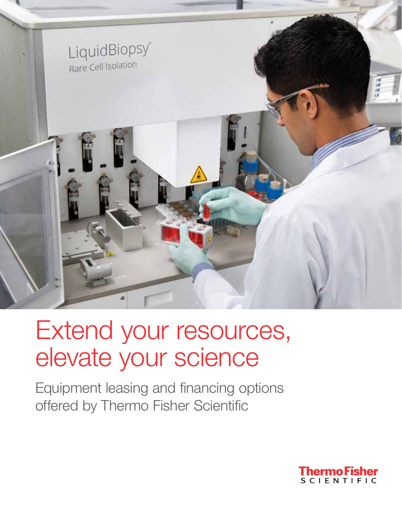

# Extend your resources, elevate your science

Equipment leasing and financing options offered by Thermo Fisher Scientific

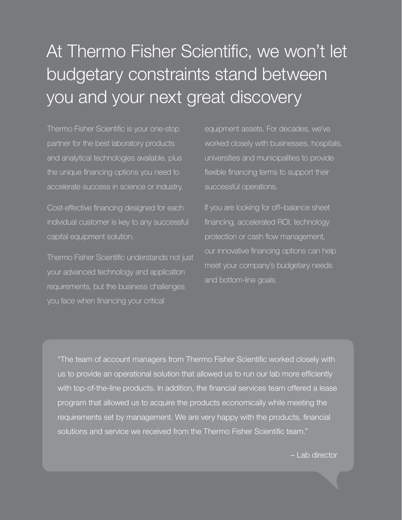## At Thermo Fisher Scientific, we won't let budgetary constraints stand between you and your next great discovery

Thermo Fisher Scientific is your one-stop partner for the best laboratory products and analytical technologies available, plus the unique financing options you need to accelerate success in science or industry.

Cost-effective financing designed for each individual customer is key to any successful capital equipment solution.

Thermo Fisher Scientific understands not just your advanced technology and application requirements, but the business challenges you face when financing your critical

equipment assets. For decades, we've worked closely with businesses, hospitals, universities and municipalities to provide flexible financing terms to support their successful operations.

If you are looking for off–balance sheet financing, accelerated ROI, technology protection or cash flow management, our innovative financing options can help meet your company's budgetary needs and bottom-line goals.

"The team of account managers from Thermo Fisher Scientific worked closely with us to provide an operational solution that allowed us to run our lab more efficiently with top-of-the-line products. In addition, the financial services team offered a lease program that allowed us to acquire the products economically while meeting the requirements set by management. We are very happy with the products, financial solutions and service we received from the Thermo Fisher Scientific team."

– Lab director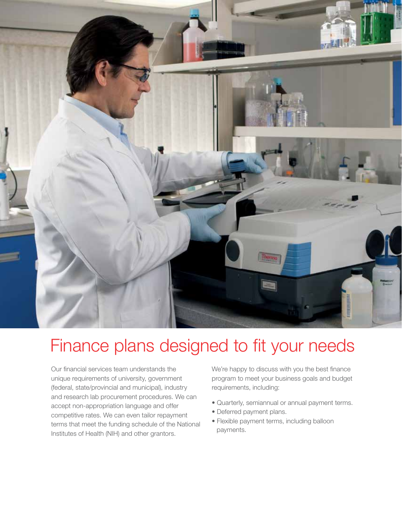

### Finance plans designed to fit your needs

Our financial services team understands the unique requirements of university, government (federal, state/provincial and municipal), industry and research lab procurement procedures. We can accept non-appropriation language and offer competitive rates. We can even tailor repayment terms that meet the funding schedule of the National Institutes of Health (NIH) and other grantors.

We're happy to discuss with you the best finance program to meet your business goals and budget requirements, including:

- Quarterly, semiannual or annual payment terms.
- Deferred payment plans.
- Flexible payment terms, including balloon payments.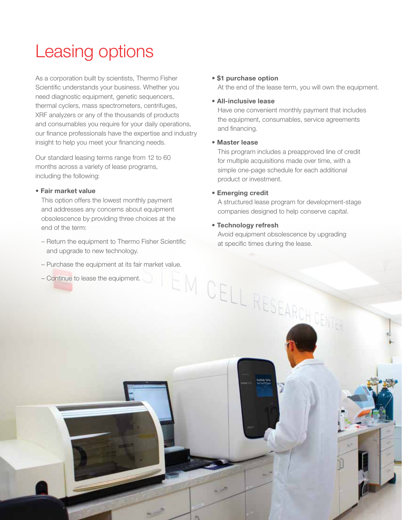### Leasing options

As a corporation built by scientists, Thermo Fisher Scientific understands your business. Whether you need diagnostic equipment, genetic sequencers, thermal cyclers, mass spectrometers, centrifuges, XRF analyzers or any of the thousands of products and consumables you require for your daily operations, our finance professionals have the expertise and industry insight to help you meet your financing needs.

Our standard leasing terms range from 12 to 60 months across a variety of lease programs, including the following:

### • Fair market value

This option offers the lowest monthly payment and addresses any concerns about equipment obsolescence by providing three choices at the end of the term:

- Return the equipment to Thermo Fisher Scientific and upgrade to new technology.
- Purchase the equipment at its fair market value.<br>
Continue to lease the equipment.<br>
CELL RESEARCH CENTER
- Continue to lease the equipment.

### • \$1 purchase option

At the end of the lease term, you will own the equipment.

### • All-inclusive lease

Have one convenient monthly payment that includes the equipment, consumables, service agreements and financing.

### • Master lease

This program includes a preapproved line of credit for multiple acquisitions made over time, with a simple one-page schedule for each additional product or investment.

### • Emerging credit

A structured lease program for development-stage companies designed to help conserve capital.

### • Technology refresh

Avoid equipment obsolescence by upgrading at specific times during the lease.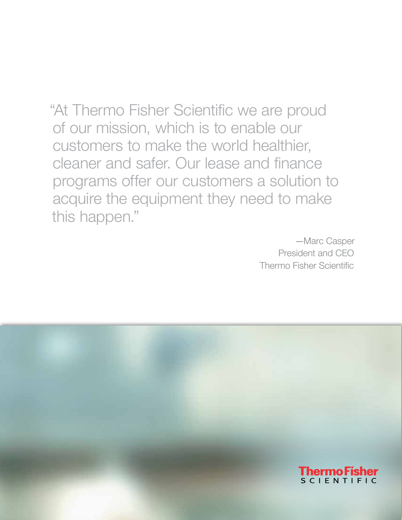"At Thermo Fisher Scientific we are proud of our mission, which is to enable our customers to make the world healthier, cleaner and safer. Our lease and finance programs offer our customers a solution to acquire the equipment they need to make this happen."

> —Marc Casper President and CEO Thermo Fisher Scientific